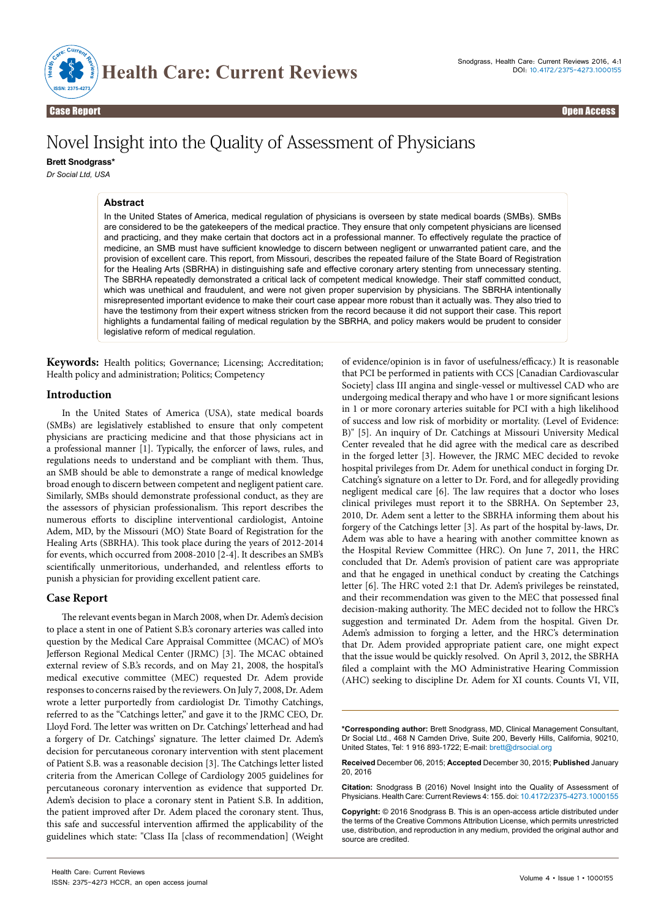

Case Report Open Access

# Novel Insight into the Quality of Assessment of Physicians

**Brett Snodgrass\*** 

*Dr Social Ltd, USA* 

# **Abstract**

In the United States of America, medical regulation of physicians is overseen by state medical boards (SMBs). SMBs are considered to be the gatekeepers of the medical practice. They ensure that only competent physicians are licensed and practicing, and they make certain that doctors act in a professional manner. To effectively regulate the practice of medicine, an SMB must have sufficient knowledge to discern between negligent or unwarranted patient care, and the provision of excellent care. This report, from Missouri, describes the repeated failure of the State Board of Registration for the Healing Arts (SBRHA) in distinguishing safe and effective coronary artery stenting from unnecessary stenting. The SBRHA repeatedly demonstrated a critical lack of competent medical knowledge. Their staff committed conduct, which was unethical and fraudulent, and were not given proper supervision by physicians. The SBRHA intentionally misrepresented important evidence to make their court case appear more robust than it actually was. They also tried to have the testimony from their expert witness stricken from the record because it did not support their case. This report highlights a fundamental failing of medical regulation by the SBRHA, and policy makers would be prudent to consider legislative reform of medical regulation.

**Keywords:** Health politics; Governance; Licensing; Accreditation; Health policy and administration; Politics; Competency

#### **Introduction**

In the United States of America (USA), state medical boards (SMBs) are legislatively established to ensure that only competent physicians are practicing medicine and that those physicians act in a professional manner [1]. Typically, the enforcer of laws, rules, and regulations needs to understand and be compliant with them. Thus, an SMB should be able to demonstrate a range of medical knowledge broad enough to discern between competent and negligent patient care. Similarly, SMBs should demonstrate professional conduct, as they are the assessors of physician professionalism. This report describes the numerous efforts to discipline interventional cardiologist, Antoine Adem, MD, by the Missouri (MO) State Board of Registration for the Healing Arts (SBRHA). This took place during the years of 2012-2014 for events, which occurred from 2008-2010 [2-4]. It describes an SMB's scientifically unmeritorious, underhanded, and relentless efforts to punish a physician for providing excellent patient care.

## **Case Report**

The relevant events began in March 2008, when Dr. Adem's decision to place a stent in one of Patient S.B.'s coronary arteries was called into question by the Medical Care Appraisal Committee (MCAC) of MO's Jefferson Regional Medical Center (JRMC) [3]. The MCAC obtained external review of S.B.'s records, and on May 21, 2008, the hospital's medical executive committee (MEC) requested Dr. Adem provide responses to concerns raised by the reviewers. On July 7, 2008, Dr. Adem wrote a letter purportedly from cardiologist Dr. Timothy Catchings, referred to as the "Catchings letter," and gave it to the JRMC CEO, Dr. Lloyd Ford. The letter was written on Dr. Catchings' letterhead and had a forgery of Dr. Catchings' signature. The letter claimed Dr. Adem's decision for percutaneous coronary intervention with stent placement of Patient S.B. was a reasonable decision [3]. The Catchings letter listed criteria from the American College of Cardiology 2005 guidelines for percutaneous coronary intervention as evidence that supported Dr. Adem's decision to place a coronary stent in Patient S.B. In addition, the patient improved after Dr. Adem placed the coronary stent. Thus, this safe and successful intervention affirmed the applicability of the guidelines which state: "Class IIa [class of recommendation] (Weight

of evidence/opinion is in favor of usefulness/efficacy.) It is reasonable that PCI be performed in patients with CCS [Canadian Cardiovascular Society] class III angina and single-vessel or multivessel CAD who are undergoing medical therapy and who have 1 or more significant lesions in 1 or more coronary arteries suitable for PCI with a high likelihood of success and low risk of morbidity or mortality. (Level of Evidence: B)" [5]. An inquiry of Dr. Catchings at Missouri University Medical Center revealed that he did agree with the medical care as described in the forged letter [3]. However, the JRMC MEC decided to revoke hospital privileges from Dr. Adem for unethical conduct in forging Dr. Catching's signature on a letter to Dr. Ford, and for allegedly providing negligent medical care [6]. The law requires that a doctor who loses clinical privileges must report it to the SBRHA. On September 23, 2010, Dr. Adem sent a letter to the SBRHA informing them about his forgery of the Catchings letter [3]. As part of the hospital by-laws, Dr. Adem was able to have a hearing with another committee known as the Hospital Review Committee (HRC). On June 7, 2011, the HRC concluded that Dr. Adem's provision of patient care was appropriate and that he engaged in unethical conduct by creating the Catchings letter [6]. The HRC voted 2:1 that Dr. Adem's privileges be reinstated, and their recommendation was given to the MEC that possessed final decision-making authority. The MEC decided not to follow the HRC's suggestion and terminated Dr. Adem from the hospital. Given Dr. Adem's admission to forging a letter, and the HRC's determination that Dr. Adem provided appropriate patient care, one might expect that the issue would be quickly resolved. On April 3, 2012, the SBRHA filed a complaint with the MO Administrative Hearing Commission (AHC) seeking to discipline Dr. Adem for XI counts. Counts VI, VII,

**\*Corresponding author:** Brett Snodgrass, MD, Clinical Management Consultant, Dr Social Ltd., 468 N Camden Drive, Suite 200, Beverly Hills, California, 90210, United States, Tel: 1 916 893-1722; E-mail: brett@drsocial.org

**Received** December 06, 2015; **Accepted** December 30, 2015; **Published** January 20, 2016

**Citation:** Snodgrass B (2016) Novel Insight into the Quality of Assessment of Physicians. Health Care: Current Reviews 4: 155. doi: 10.4172/2375-4273.1000155

**Copyright:** © 2016 Snodgrass B. This is an open-access article distributed under the terms of the Creative Commons Attribution License, which permits unrestricted use, distribution, and reproduction in any medium, provided the original author and source are credited.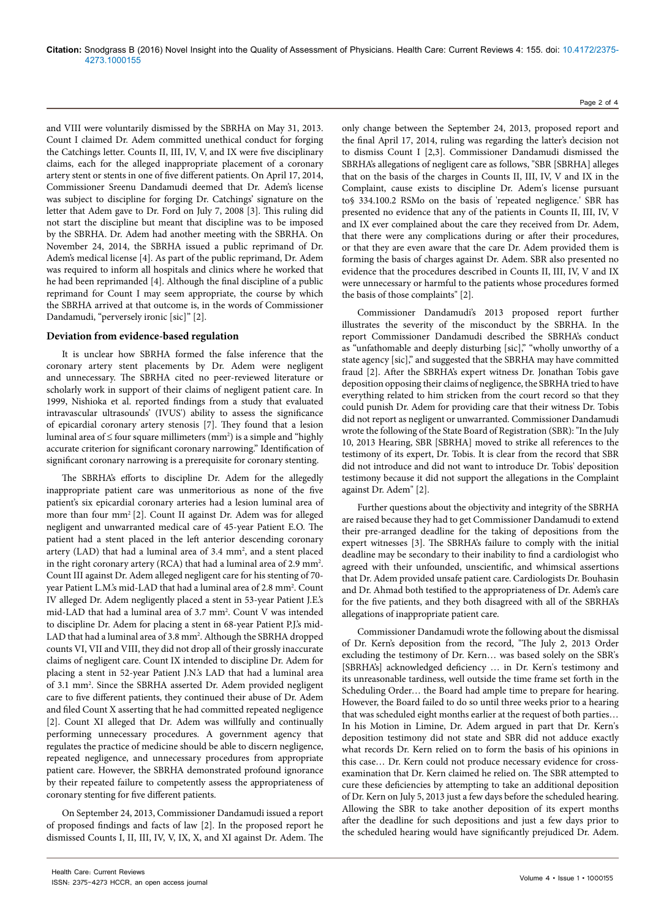and VIII were voluntarily dismissed by the SBRHA on May 31, 2013. Count I claimed Dr. Adem committed unethical conduct for forging the Catchings letter. Counts II, III, IV, V, and IX were five disciplinary claims, each for the alleged inappropriate placement of a coronary artery stent or stents in one of five different patients. On April 17, 2014, Commissioner Sreenu Dandamudi deemed that Dr. Adem's license was subject to discipline for forging Dr. Catchings' signature on the letter that Adem gave to Dr. Ford on July 7, 2008 [3]. This ruling did not start the discipline but meant that discipline was to be imposed by the SBRHA. Dr. Adem had another meeting with the SBRHA. On November 24, 2014, the SBRHA issued a public reprimand of Dr. Adem's medical license [4]. As part of the public reprimand, Dr. Adem was required to inform all hospitals and clinics where he worked that he had been reprimanded [4]. Although the final discipline of a public reprimand for Count I may seem appropriate, the course by which the SBRHA arrived at that outcome is, in the words of Commissioner Dandamudi, "perversely ironic [sic]" [2].

#### **Deviation from evidence-based regulation**

It is unclear how SBRHA formed the false inference that the coronary artery stent placements by Dr. Adem were negligent and unnecessary. The SBRHA cited no peer-reviewed literature or scholarly work in support of their claims of negligent patient care. In 1999, Nishioka et al. reported findings from a study that evaluated intravascular ultrasounds' (IVUS') ability to assess the significance of epicardial coronary artery stenosis [7]. They found that a lesion luminal area of  $\leq$  four square millimeters (mm<sup>2</sup>) is a simple and "highly accurate criterion for significant coronary narrowing." Identification of significant coronary narrowing is a prerequisite for coronary stenting.

The SBRHA's efforts to discipline Dr. Adem for the allegedly inappropriate patient care was unmeritorious as none of the five patient's six epicardial coronary arteries had a lesion luminal area of more than four mm2 [2]. Count II against Dr. Adem was for alleged negligent and unwarranted medical care of 45-year Patient E.O. The patient had a stent placed in the left anterior descending coronary artery (LAD) that had a luminal area of 3.4  $mm<sup>2</sup>$ , and a stent placed in the right coronary artery (RCA) that had a luminal area of 2.9 mm<sup>2</sup>. Count III against Dr. Adem alleged negligent care for his stenting of 70 year Patient L.M.'s mid-LAD that had a luminal area of 2.8 mm<sup>2</sup>. Count IV alleged Dr. Adem negligently placed a stent in 53-year Patient J.E.'s mid-LAD that had a luminal area of 3.7 mm2 . Count V was intended to discipline Dr. Adem for placing a stent in 68-year Patient P.J.'s mid-LAD that had a luminal area of 3.8 mm<sup>2</sup>. Although the SBRHA dropped counts VI, VII and VIII, they did not drop all of their grossly inaccurate claims of negligent care. Count IX intended to discipline Dr. Adem for placing a stent in 52-year Patient J.N.'s LAD that had a luminal area of 3.1 mm<sup>2</sup>. Since the SBRHA asserted Dr. Adem provided negligent care to five different patients, they continued their abuse of Dr. Adem and filed Count X asserting that he had committed repeated negligence [2]. Count XI alleged that Dr. Adem was willfully and continually performing unnecessary procedures. A government agency that regulates the practice of medicine should be able to discern negligence, repeated negligence, and unnecessary procedures from appropriate patient care. However, the SBRHA demonstrated profound ignorance by their repeated failure to competently assess the appropriateness of coronary stenting for five different patients.

On September 24, 2013, Commissioner Dandamudi issued a report of proposed findings and facts of law [2]. In the proposed report he dismissed Counts I, II, III, IV, V, IX, X, and XI against Dr. Adem. The

only change between the September 24, 2013, proposed report and the final April 17, 2014, ruling was regarding the latter's decision not to dismiss Count I [2,3]. Commissioner Dandamudi dismissed the SBRHA's allegations of negligent care as follows, "SBR [SBRHA] alleges that on the basis of the charges in Counts II, III, IV, V and IX in the Complaint, cause exists to discipline Dr. Adem's license pursuant to§ 334.100.2 RSMo on the basis of 'repeated negligence.' SBR has presented no evidence that any of the patients in Counts II, III, IV, V and IX ever complained about the care they received from Dr. Adem, that there were any complications during or after their procedures, or that they are even aware that the care Dr. Adem provided them is forming the basis of charges against Dr. Adem. SBR also presented no evidence that the procedures described in Counts II, III, IV, V and IX were unnecessary or harmful to the patients whose procedures formed the basis of those complaints" [2].

Commissioner Dandamudi's 2013 proposed report further illustrates the severity of the misconduct by the SBRHA. In the report Commissioner Dandamudi described the SBRHA's conduct as "unfathomable and deeply disturbing [sic]," "wholly unworthy of a state agency [sic]," and suggested that the SBRHA may have committed fraud [2]. After the SBRHA's expert witness Dr. Jonathan Tobis gave deposition opposing their claims of negligence, the SBRHA tried to have everything related to him stricken from the court record so that they could punish Dr. Adem for providing care that their witness Dr. Tobis did not report as negligent or unwarranted. Commissioner Dandamudi wrote the following of the State Board of Registration (SBR): "In the July 10, 2013 Hearing, SBR [SBRHA] moved to strike all references to the testimony of its expert, Dr. Tobis. It is clear from the record that SBR did not introduce and did not want to introduce Dr. Tobis' deposition testimony because it did not support the allegations in the Complaint against Dr. Adem" [2].

Further questions about the objectivity and integrity of the SBRHA are raised because they had to get Commissioner Dandamudi to extend their pre-arranged deadline for the taking of depositions from the expert witnesses [3]. The SBRHA's failure to comply with the initial deadline may be secondary to their inability to find a cardiologist who agreed with their unfounded, unscientific, and whimsical assertions that Dr. Adem provided unsafe patient care. Cardiologists Dr. Bouhasin and Dr. Ahmad both testified to the appropriateness of Dr. Adem's care for the five patients, and they both disagreed with all of the SBRHA's allegations of inappropriate patient care.

Commissioner Dandamudi wrote the following about the dismissal of Dr. Kern's deposition from the record, "The July 2, 2013 Order excluding the testimony of Dr. Kern… was based solely on the SBR's [SBRHA's] acknowledged deficiency ... in Dr. Kern's testimony and its unreasonable tardiness, well outside the time frame set forth in the Scheduling Order… the Board had ample time to prepare for hearing. However, the Board failed to do so until three weeks prior to a hearing that was scheduled eight months earlier at the request of both parties… In his Motion in Limine, Dr. Adem argued in part that Dr. Kern's deposition testimony did not state and SBR did not adduce exactly what records Dr. Kern relied on to form the basis of his opinions in this case… Dr. Kern could not produce necessary evidence for crossexamination that Dr. Kern claimed he relied on. The SBR attempted to cure these deficiencies by attempting to take an additional deposition of Dr. Kern on July 5, 2013 just a few days before the scheduled hearing. Allowing the SBR to take another deposition of its expert months after the deadline for such depositions and just a few days prior to the scheduled hearing would have significantly prejudiced Dr. Adem.

Page 2 of 4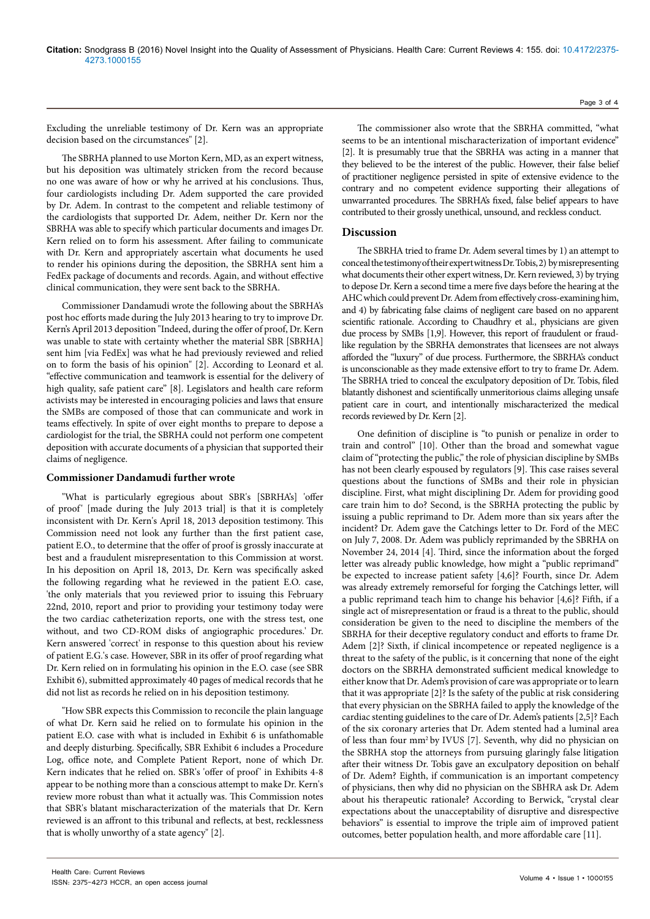Excluding the unreliable testimony of Dr. Kern was an appropriate decision based on the circumstances" [2].

The SBRHA planned to use Morton Kern, MD, as an expert witness, but his deposition was ultimately stricken from the record because no one was aware of how or why he arrived at his conclusions. Thus, four cardiologists including Dr. Adem supported the care provided by Dr. Adem. In contrast to the competent and reliable testimony of the cardiologists that supported Dr. Adem, neither Dr. Kern nor the SBRHA was able to specify which particular documents and images Dr. Kern relied on to form his assessment. After failing to communicate with Dr. Kern and appropriately ascertain what documents he used to render his opinions during the deposition, the SBRHA sent him a FedEx package of documents and records. Again, and without effective clinical communication, they were sent back to the SBRHA.

Commissioner Dandamudi wrote the following about the SBRHA's post hoc efforts made during the July 2013 hearing to try to improve Dr. Kern's April 2013 deposition "Indeed, during the offer of proof, Dr. Kern was unable to state with certainty whether the material SBR [SBRHA] sent him [via FedEx] was what he had previously reviewed and relied on to form the basis of his opinion" [2]. According to Leonard et al. "effective communication and teamwork is essential for the delivery of high quality, safe patient care" [8]. Legislators and health care reform activists may be interested in encouraging policies and laws that ensure the SMBs are composed of those that can communicate and work in teams effectively. In spite of over eight months to prepare to depose a cardiologist for the trial, the SBRHA could not perform one competent deposition with accurate documents of a physician that supported their claims of negligence.

## **Commissioner Dandamudi further wrote**

"What is particularly egregious about SBR's [SBRHA's] 'offer of proof ' [made during the July 2013 trial] is that it is completely inconsistent with Dr. Kern's April 18, 2013 deposition testimony. This Commission need not look any further than the first patient case, patient E.O., to determine that the offer of proof is grossly inaccurate at best and a fraudulent misrepresentation to this Commission at worst. In his deposition on April 18, 2013, Dr. Kern was specifically asked the following regarding what he reviewed in the patient E.O. case, 'the only materials that you reviewed prior to issuing this February 22nd, 2010, report and prior to providing your testimony today were the two cardiac catheterization reports, one with the stress test, one without, and two CD-ROM disks of angiographic procedures.' Dr. Kern answered 'correct' in response to this question about his review of patient E.G.'s case. However, SBR in its offer of proof regarding what Dr. Kern relied on in formulating his opinion in the E.O. case (see SBR Exhibit 6), submitted approximately 40 pages of medical records that he did not list as records he relied on in his deposition testimony.

"How SBR expects this Commission to reconcile the plain language of what Dr. Kern said he relied on to formulate his opinion in the patient E.O. case with what is included in Exhibit 6 is unfathomable and deeply disturbing. Specifically, SBR Exhibit 6 includes a Procedure Log, office note, and Complete Patient Report, none of which Dr. Kern indicates that he relied on. SBR's 'offer of proof' in Exhibits 4-8 appear to be nothing more than a conscious attempt to make Dr. Kern's review more robust than what it actually was. This Commission notes that SBR's blatant mischaracterization of the materials that Dr. Kern reviewed is an affront to this tribunal and reflects, at best, recklessness that is wholly unworthy of a state agency" [2].

The commissioner also wrote that the SBRHA committed, "what seems to be an intentional mischaracterization of important evidence" [2]. It is presumably true that the SBRHA was acting in a manner that they believed to be the interest of the public. However, their false belief of practitioner negligence persisted in spite of extensive evidence to the contrary and no competent evidence supporting their allegations of unwarranted procedures. The SBRHA's fixed, false belief appears to have contributed to their grossly unethical, unsound, and reckless conduct.

# **Discussion**

The SBRHA tried to frame Dr. Adem several times by 1) an attempt to conceal the testimony of their expert witness Dr. Tobis, 2) by misrepresenting what documents their other expert witness, Dr. Kern reviewed, 3) by trying to depose Dr. Kern a second time a mere five days before the hearing at the AHC which could prevent Dr. Adem from effectively cross-examining him, and 4) by fabricating false claims of negligent care based on no apparent scientific rationale. According to Chaudhry et al., physicians are given due process by SMBs [1,9]. However, this report of fraudulent or fraudlike regulation by the SBRHA demonstrates that licensees are not always afforded the "luxury" of due process. Furthermore, the SBRHA's conduct is unconscionable as they made extensive effort to try to frame Dr. Adem. The SBRHA tried to conceal the exculpatory deposition of Dr. Tobis, filed blatantly dishonest and scientifically unmeritorious claims alleging unsafe patient care in court, and intentionally mischaracterized the medical records reviewed by Dr. Kern [2].

One definition of discipline is "to punish or penalize in order to train and control" [10]. Other than the broad and somewhat vague claim of "protecting the public," the role of physician discipline by SMBs has not been clearly espoused by regulators [9]. This case raises several questions about the functions of SMBs and their role in physician discipline. First, what might disciplining Dr. Adem for providing good care train him to do? Second, is the SBRHA protecting the public by issuing a public reprimand to Dr. Adem more than six years after the incident? Dr. Adem gave the Catchings letter to Dr. Ford of the MEC on July 7, 2008. Dr. Adem was publicly reprimanded by the SBRHA on November 24, 2014 [4]. Third, since the information about the forged letter was already public knowledge, how might a "public reprimand" be expected to increase patient safety [4,6]? Fourth, since Dr. Adem was already extremely remorseful for forging the Catchings letter, will a public reprimand teach him to change his behavior [4,6]? Fifth, if a single act of misrepresentation or fraud is a threat to the public, should consideration be given to the need to discipline the members of the SBRHA for their deceptive regulatory conduct and efforts to frame Dr. Adem [2]? Sixth, if clinical incompetence or repeated negligence is a threat to the safety of the public, is it concerning that none of the eight doctors on the SBRHA demonstrated sufficient medical knowledge to either know that Dr. Adem's provision of care was appropriate or to learn that it was appropriate [2]? Is the safety of the public at risk considering that every physician on the SBRHA failed to apply the knowledge of the cardiac stenting guidelines to the care of Dr. Adem's patients [2,5]? Each of the six coronary arteries that Dr. Adem stented had a luminal area of less than four mm2 by IVUS [7]. Seventh, why did no physician on the SBRHA stop the attorneys from pursuing glaringly false litigation after their witness Dr. Tobis gave an exculpatory deposition on behalf of Dr. Adem? Eighth, if communication is an important competency of physicians, then why did no physician on the SBHRA ask Dr. Adem about his therapeutic rationale? According to Berwick, "crystal clear expectations about the unacceptability of disruptive and disrespective behaviors" is essential to improve the triple aim of improved patient outcomes, better population health, and more affordable care [11].